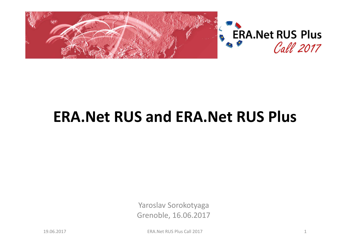

## **ERA.Net RUS and ERA.Net RUS Plus**

Yaroslav Sorokotyaga Grenoble, 16.06.2017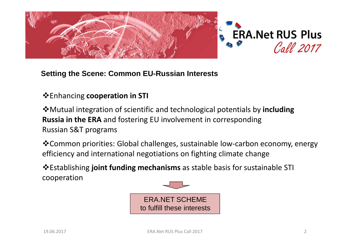



### **Setting the Scene: Common EU-Russian Interests**

### Enhancing **cooperation in STI**

Mutual integration of scientific and technological potentials by **includingRussia in the ERA** and fostering EU involvement in corresponding Russian S&T programs

Common priorities: Global challenges, sustainable low-carbon economy, energy efficiency and international negotiations on fighting climate change

Establishing **joint funding mechanisms** as stable basis for sustainable STI cooperation

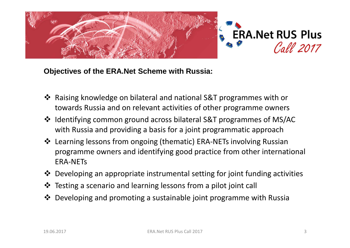



**Objectives of the ERA.Net Scheme with Russia:**

- Raising knowledge on bilateral and national S&T programmes with or<br>towards Bussia and on relevant activities of other programme owners towards Russia and on relevant activities of other programme owners
- Identifying common ground across bilateral S&T programmes of MS/AC<br>With Pussia and providing a basis for a joint programmatic approach with Russia and providing a basis for a joint programmatic approach
- Learning lessons from ongoing (thematic) ERA-NETs involving Russian<br>programmo owners and identifying good practice from other internati programme owners and identifying good practice from other international ERA-NETs
- \* Developing an appropriate instrumental setting for joint funding activities
- Testing a scenario and learning lessons from a pilot joint call
- ◆ Developing and promoting a sustainable joint programme with Russia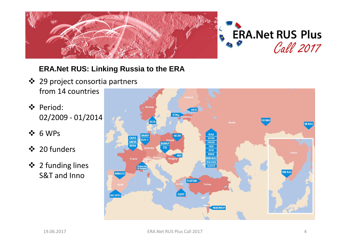

### **ERA.Net RUS: Linking Russia to the ERA**

- ❖ 29 project consortia partners<br>from 14 countries from 14 countries
- Period:<br>2000 M 02/2009 - 01/2014
- $\div$  6 WPs
- ❖ 20 funders
- 2 funding lines<br>S&T and lane S&T and Inno

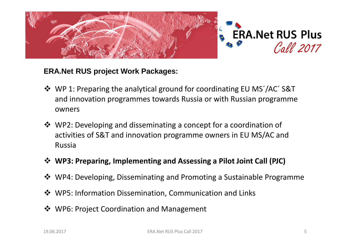

### **ERA.Net RUS project Work Packages:**

- WP 1: Preparing the analytical ground for coordinating EU MS'/AC' S&T<br>and innovation programmes towards Bussia or with Bussian programme and innovation programmes towards Russia or with Russian programme owners
- WP2: Developing and disseminating a concept for a coordination of<br>activities of S&T and innovation programme owners in ELLMS/AC and activities of S&T and innovation programme owners in EU MS/AC and Russia
- **WP3: Preparing, Implementing and Assessing a Pilot Joint Call (PJC)**
- ◆ WP4: Developing, Disseminating and Promoting a Sustainable Programme
- ❖ WP5: Information Dissemination, Communication and Links
- ◆ WP6: Project Coordination and Management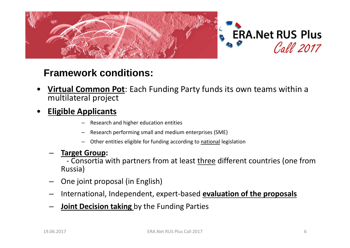

### **Framework conditions:**

- • **Virtual Common Pot**: Each Funding Party funds its own teams within a multilateral project
- • **Eligible Applicants**
	- Research and higher education entities
	- –Research performing small and medium enterprises (SME)
	- –Other entities eligible for funding according to national legislation
	- **Target Group:** 
		- -Consortia with partners from at least three different countries (one from Russia)
	- One joint proposal (in English)
	- International, Independent, expert-based **evaluation of the proposals**
	- **Joint Decision taking** by the Funding Parties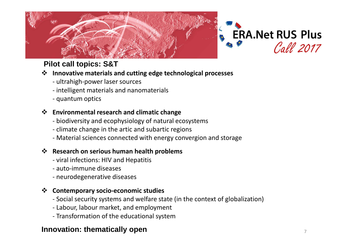



### **Pilot call topics: S&T**

### **<sup>** $\div$ **</sup> Innovative materials and cutting edge technological processes**<br>
ultrabigh power laser sources

- ultrahigh-power laser sources
- intelligent materials and nanomaterials
- quantum optics

### **Environmental research and climatic change**<br>**Environmental research and climatic change**

- biodiversity and ecophysiology of natural ecosystems
- climate change in the artic and subartic regions
- Material sciences connected with energy convergion and storage

### **Research on serious human health problems**<br>
Nital infections: HIV and Henatitis

- viral infections: HIV and Hepatitis
- auto-immune diseases
- neurodegenerative diseases

### **Contemporary socio-economic studies**<br>Cocial socurity systems and welfare sta

- Social security systems and welfare state (in the context of globalization)
- Labour, labour market, and employment
- Transformation of the educational system

### **Innovation: thematically open**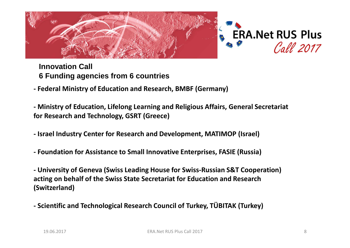



### **Innovation Call6 Funding agencies from 6 countries**

**- Federal Ministry of Education and Research, BMBF (Germany)**

**- Ministry of Education, Lifelong Learning and Religious Affairs, General Secretariat for Research and Technology, GSRT (Greece)**

- **- Israel Industry Center for Research and Development, MATIMOP (Israel)**
- **- Foundation for Assistance to Small Innovative Enterprises, FASIE (Russia)**

**- University of Geneva (Swiss Leading House for Swiss-Russian S&T Cooperation) acting on behalf of the Swiss State Secretariat for Education and Research (Switzerland)**

**- Scientific and Technological Research Council of Turkey, TÜBITAK (Turkey)**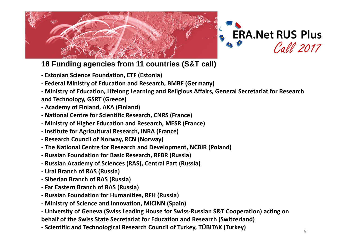



**18 Funding agencies from 11 countries (S&T call)**

- **- Estonian Science Foundation, ETF (Estonia)**
- **- Federal Ministry of Education and Research, BMBF (Germany)**
- **- Ministry of Education, Lifelong Learning and Religious Affairs, General Secretariat for Research and Technology, GSRT (Greece)**
- **- Academy of Finland, AKA (Finland)**
- **- National Centre for Scientific Research, CNRS (France)**
- **- Ministry of Higher Education and Research, MESR (France)**
- **- Institute for Agricultural Research, INRA (France)**
- **- Research Council of Norway, RCN (Norway)**
- **- The National Centre for Research and Development, NCBIR (Poland)**
- **- Russian Foundation for Basic Research, RFBR (Russia)**
- **- Russian Academy of Sciences (RAS), Central Part (Russia)**
- **- Ural Branch of RAS (Russia)**
- **- Siberian Branch of RAS (Russia)**
- **- Far Eastern Branch of RAS (Russia)**
- **- Russian Foundation for Humanities, RFH (Russia)**
- **- Ministry of Science and Innovation, MICINN (Spain)**
- **- University of Geneva (Swiss Leading House for Swiss-Russian S&T Cooperation) acting on behalf of the Swiss State Secretariat for Education and Research (Switzerland)**
- **- Scientific and Technological Research Council of Turkey, TÜBITAK (Turkey)**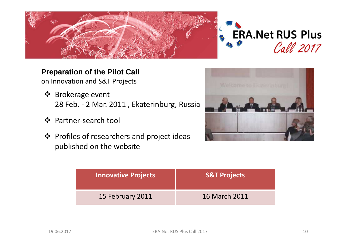



### **Preparation of the Pilot Call**

on Innovation and S&T Projects

- **◆** Brokerage event<br>28 Feb 2 Mar 28 Feb. - 2 Mar. 2011 , Ekaterinburg, Russia
- ❖ Partner-search tool
- ❖ Profiles of researchers and project ideas<br>aublished on the website published on the website



| Innovative Projects | <b>S&amp;T Projects</b> |
|---------------------|-------------------------|
| 15 February 2011    | 16 March 2011           |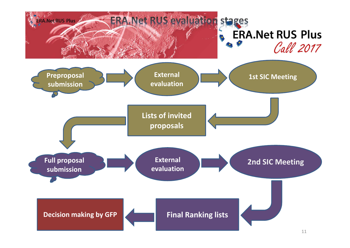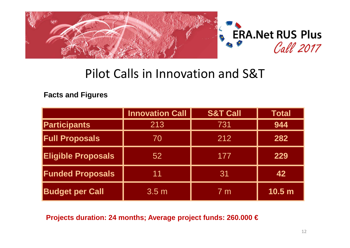

# Pilot Calls in Innovation and S&T

**Facts and Figures**

|                           | <b>Innovation Call</b> | <b>S&amp;T Call</b> | <b>Total</b>      |
|---------------------------|------------------------|---------------------|-------------------|
| <b>Participants</b>       | 213                    | 731                 | 944               |
| <b>Full Proposals</b>     | 70                     | 212                 | 282               |
| <b>Eligible Proposals</b> | 52                     | 177                 | 229               |
| <b>Funded Proposals</b>   | 11                     | 31                  | 42                |
| <b>Budget per Call</b>    | 3.5 <sub>m</sub>       | 7 <sub>m</sub>      | 10.5 <sub>m</sub> |

**Projects duration: 24 months; Average project funds: 260.000 €**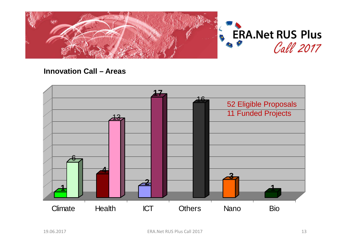

### **Innovation Call – Areas**

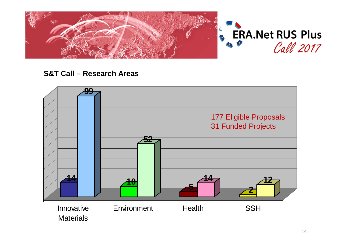

### **S&T Call – Research Areas**

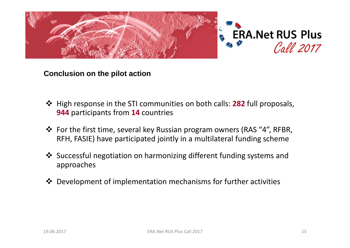

### **Conclusion on the pilot action**

- $\diamondsuit$  High response in the STI communities on both calls: **282** full proposals,<br> **944** participants from **14** countries **944** participants from **<sup>14</sup>** countries
- For the first time, several key Russian program owners (RAS "4", RFBR,<br>REH EASIE) have narticinated jointly in a multilateral funding scheme RFH, FASIE) have participated jointly in a multilateral funding scheme
- Successful negotiation on harmonizing different funding systems and<br>annroaches approaches
- ◆ Development of implementation mechanisms for further activities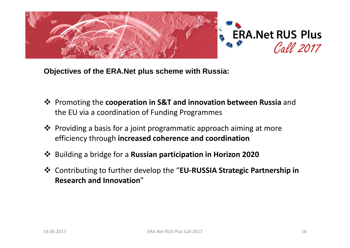

**Objectives of the ERA.Net plus scheme with Russia:**

- **<sup>❖</sup>** Promoting the **cooperation in S&T and innovation between Russia** and the EU via a coordination of Eunding Programmes the EU via a coordination of Funding Programmes
- ❖ Providing a basis for a joint programmatic approach aiming at more efficiency through **increased coherence and coordination**
- Building a bridge for a **Russian participation in Horizon 2020**
- Contributing to further develop the "**EU-RUSSIA Strategic Partnership in Research and Innovation**"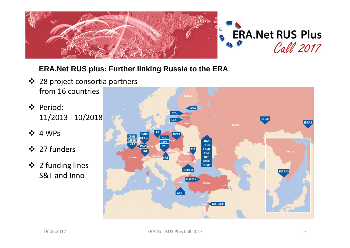

### **ERA.Net RUS plus: Further linking Russia to the ERA**

- ❖ 28 project consortia partners<br>from 16 countries from 16 countries
- $\bullet$  Period:<br>11/201 11/2013 - 10/2018
- $\div$  4 WPs
- ❖ 27 funders
- 2 funding lines<br>S&T and lane S&T and Inno

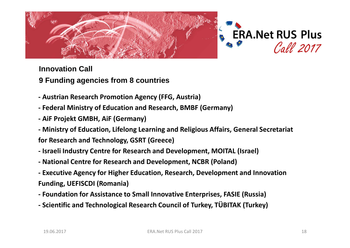



### **Innovation Call**

### **9 Funding agencies from 8 countries**

- **- Austrian Research Promotion Agency (FFG, Austria)**
- **- Federal Ministry of Education and Research, BMBF (Germany)**
- **- AiF Projekt GMBH, AiF (Germany)**
- **- Ministry of Education, Lifelong Learning and Religious Affairs, General Secretariat**
- **for Research and Technology, GSRT (Greece)**
- **- Israeli Industry Centre for Research and Development, MOITAL (Israel)**
- **- National Centre for Research and Development, NCBR (Poland)**
- **- Executive Agency for Higher Education, Research, Development and Innovation Funding, UEFISCDI (Romania)**
- **- Foundation for Assistance to Small Innovative Enterprises, FASIE (Russia)**
- **- Scientific and Technological Research Council of Turkey, TÜBITAK (Turkey)**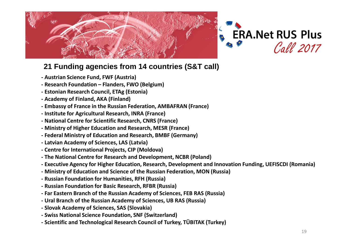



### **21 Funding agencies from 14 countries (S&T call)**

- **- Austrian Science Fund, FWF (Austria)**
- **- Research Foundation – Flanders, FWO (Belgium)**
- **- Estonian Research Council, ETAg (Estonia)**
- **- Academy of Finland, AKA (Finland)**
- **- Embassy of France in the Russian Federation, AMBAFRAN (France)**
- **- Institute for Agricultural Research, INRA (France)**
- **- National Centre for Scientific Research, CNRS (France)**
- **- Ministry of Higher Education and Research, MESR (France)**
- **- Federal Ministry of Education and Research, BMBF (Germany)**
- **- Latvian Academy of Sciences, LAS (Latvia)**
- **- Centre for International Projects, CIP (Moldova)**
- **- The National Centre for Research and Development, NCBR (Poland)**
- **- Executive Agency for Higher Education, Research, Development and Innovation Funding, UEFISCDI (Romania)**
- **- Ministry of Education and Science of the Russian Federation, MON (Russia)**
- **- Russian Foundation for Humanities, RFH (Russia)**
- **- Russian Foundation for Basic Research, RFBR (Russia)**
- **- Far Eastern Branch of the Russian Academy of Sciences, FEB RAS (Russia)**
- **- Ural Branch of the Russian Academy of Sciences, UB RAS (Russia)**
- **- Slovak Academy of Sciences, SAS (Slovakia)**
- **- Swiss National Science Foundation, SNF (Switzerland)**
- **- Scientific and Technological Research Council of Turkey, TÜBITAK (Turkey)**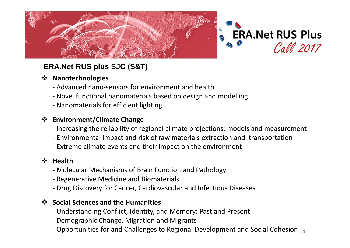



### **ERA.Net RUS plus SJC (S&T)**

### **Manotechnologies**<br>Advanced pane s

- Advanced nano-sensors for environment and health
- Novel functional nanomaterials based on design and modelling
- Nanomaterials for efficient lighting

### **Environment/Climate Change**<br>Increasing the reliability of re

- Increasing the reliability of regional climate projections: models and measurement
- Environmental impact and risk of raw materials extraction and transportation
- Extreme climate events and their impact on the environment

### **<sup>◆</sup> Health**<br>Mole

- Molecular Mechanisms of Brain Function and Pathology
- Regenerative Medicine and Biomaterials
- Drug Discovery for Cancer, Cardiovascular and Infectious Diseases

### **Social Sciences and the Humanities**<br>Lindorstanding Conflict, Identity, and

- Understanding Conflict, Identity, and Memory: Past and Present
- Demographic Change, Migration and Migrants
- Opportunities for and Challenges to Regional Development and Social Cohesion  $_{20}$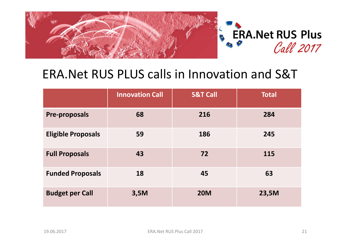

# ERA.Net RUS PLUS calls in Innovation and S&T

|                           | <b>Innovation Call</b> | <b>S&amp;T Call</b> | <b>Total</b> |
|---------------------------|------------------------|---------------------|--------------|
| <b>Pre-proposals</b>      | 68                     | 216                 | 284          |
| <b>Eligible Proposals</b> | 59                     | 186                 | 245          |
| <b>Full Proposals</b>     | 43                     | 72                  | 115          |
| <b>Funded Proposals</b>   | 18                     | 45                  | 63           |
| <b>Budget per Call</b>    | 3,5M                   | <b>20M</b>          | 23,5M        |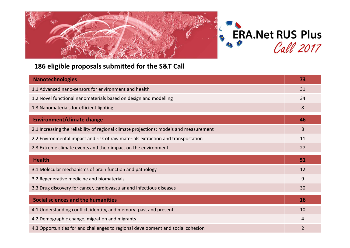



#### **186 eligible proposals submitted for the S&T Call**

| <b>Nanotechnologies</b>                                                                | 73 |
|----------------------------------------------------------------------------------------|----|
| 1.1 Advanced nano-sensors for environment and health                                   |    |
| 1.2 Novel functional nanomaterials based on design and modelling                       |    |
| 1.3 Nanomaterials for efficient lighting                                               |    |
| <b>Environment/climate change</b>                                                      | 46 |
| 2.1 Increasing the reliability of regional climate projections: models and measurement |    |
| 2.2 Environmental impact and risk of raw materials extraction and transportation       |    |
| 2.3 Extreme climate events and their impact on the environment                         |    |
|                                                                                        |    |
| <b>Health</b>                                                                          | 51 |
| 3.1 Molecular mechanisms of brain function and pathology                               | 12 |
| 3.2 Regenerative medicine and biomaterials                                             | 9  |
| 3.3 Drug discovery for cancer, cardiovascular and infectious diseases                  | 30 |
| <b>Social sciences and the humanities</b>                                              | 16 |
| 4.1 Understanding conflict, identity, and memory: past and present                     | 10 |
| 4.2 Demographic change, migration and migrants                                         | 4  |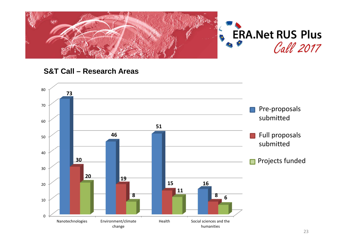

#### **S&T Call – Research Areas**

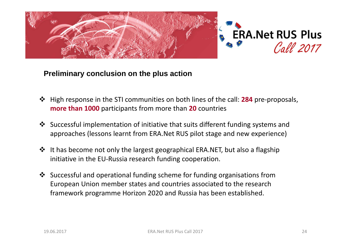

### **Preliminary conclusion on the plus action**

- High response in the STI communities on both lines of the call: **<sup>284</sup>** pre-proposals, **more than 1000** participants from more than **<sup>20</sup>** countries
- Successful implementation of initiative that suits different funding systems and<br>approaches (lessens learnt from EBA Net BLIS pilot stage and new experience) approaches (lessons learnt from ERA.Net RUS pilot stage and new experience)
- It has become not only the largest geographical ERA.NET, but also a flagship<br>initiative in the ELL Bussia research funding cooperation initiative in the EU-Russia research funding cooperation.
- Successful and operational funding scheme for funding organisations from<br>European Union momber states and sountries associated to the research European Union member states and countries associated to the research framework programme Horizon 2020 and Russia has been established.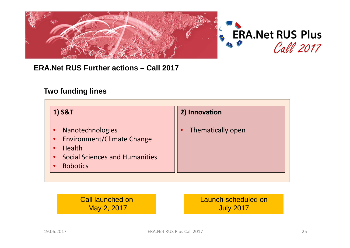

### **ERA.Net RUS Further actions – Call 2017**

#### **Two funding lines**

| 1) S&T                                                                                                                                          | 2) Innovation     |
|-------------------------------------------------------------------------------------------------------------------------------------------------|-------------------|
| Nanotechnologies<br><b>Environment/Climate Change</b><br><b>Health</b><br><b>Social Sciences and Humanities</b><br>$\bullet$<br><b>Robotics</b> | Thematically open |

Call launched onMay 2, 2017Launch scheduled on July 2017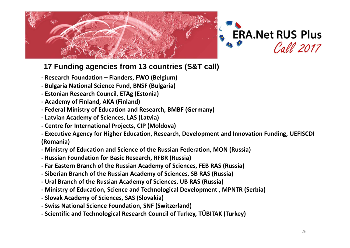



### **17 Funding agencies from 13 countries (S&T call)**

- **- Research Foundation – Flanders, FWO (Belgium)**
- **- Bulgaria National Science Fund, BNSF (Bulgaria)**
- **- Estonian Research Council, ETAg (Estonia)**
- **- Academy of Finland, AKA (Finland)**
- **- Federal Ministry of Education and Research, BMBF (Germany)**
- **- Latvian Academy of Sciences, LAS (Latvia)**
- **- Centre for International Projects, CIP (Moldova)**
- **- Executive Agency for Higher Education, Research, Development and Innovation Funding, UEFISCDI (Romania)**
- **- Ministry of Education and Science of the Russian Federation, MON (Russia)**
- **- Russian Foundation for Basic Research, RFBR (Russia)**
- **- Far Eastern Branch of the Russian Academy of Sciences, FEB RAS (Russia)**
- **- Siberian Branch of the Russian Academy of Sciences, SB RAS (Russia)**
- **- Ural Branch of the Russian Academy of Sciences, UB RAS (Russia)**
- **- Ministry of Education, Science and Technological Development , MPNTR (Serbia)**
- **- Slovak Academy of Sciences, SAS (Slovakia)**
- **- Swiss National Science Foundation, SNF (Switzerland)**
- **Scientific and Technological Research Council of Turkey, TÜBITAK (Turkey)**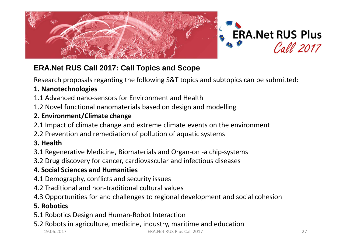



### **ERA.Net RUS Call 2017: Call Topics and Scope**

Research proposals regarding the following S&T topics and subtopics can be submitted:

### **1. Nanotechnologies**

- 1.1 Advanced nano-sensors for Environment and Health
- 1.2 Novel functional nanomaterials based on design and modelling

### **2. Environment/Climate change**

- 2.1 Impact of climate change and extreme climate events on the environment
- 2.2 Prevention and remediation of pollution of aquatic systems

### **3. Health**

3.1 Regenerative Medicine, Biomaterials and Organ-on -a chip-systems

3.2 Drug discovery for cancer, cardiovascular and infectious diseases

### **4. Social Sciences and Humanities**

- 4.1 Demography, conflicts and security issues
- 4.2 Traditional and non-traditional cultural values
- 4.3 Opportunities for and challenges to regional development and social cohesion

### **5. Robotics**

- 5.1 Robotics Design and Human-Robot Interaction
- 5.2 Robots in agriculture, medicine, industry, maritime and education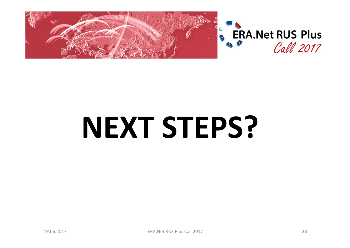

# **NEXT STEPS?**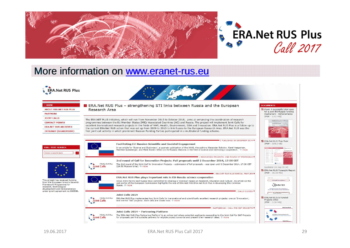



### More information on www.eranet-rus.eu